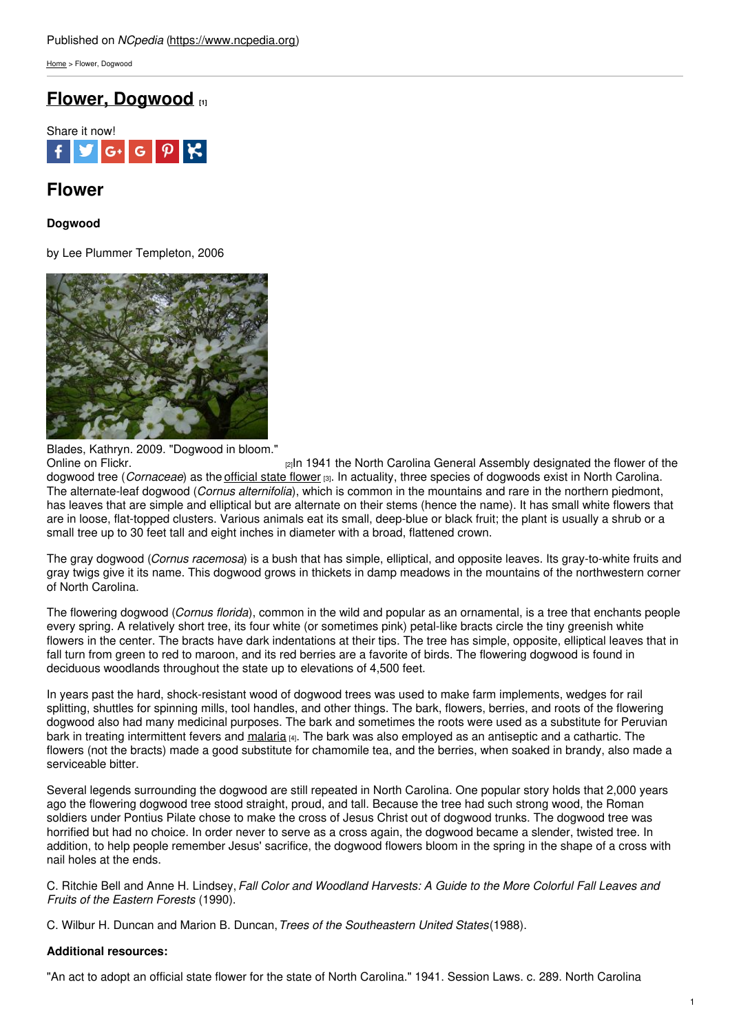[Home](https://www.ncpedia.org/) > Flower, Dogwood

# **Flower, [Dogwood](https://www.ncpedia.org/symbols/flower) [1]**



## **Flower**

**Dogwood**

by Lee Plummer Templeton, 2006



Blades, Kathryn. 2009. "Dogwood in bloom."

[2]In 1941 the North Carolina General Assembly designated the flower of the dogwood tree (*Cornaceae*) as the [official](http://digital.ncdcr.gov/u?/p249901coll22,245286) state flower [3]. In actuality, three species of dogwoods exist in North Carolina. The alternate-leaf dogwood (*Cornus alternifolia*), which is common in the mountains and rare in the northern piedmont, has leaves that are simple and elliptical but are alternate on their stems (hence the name). It has small white flowers that are in loose, flat-topped clusters. Various animals eat its small, deep-blue or black fruit; the plant is usually a shrub or a small tree up to 30 feet tall and eight inches in diameter with a broad, flattened crown.

The gray dogwood (*Cornus racemosa*) is a bush that has simple, elliptical, and opposite leaves. Its gray-to-white fruits and gray twigs give it its name. This dogwood grows in thickets in damp meadows in the mountains of the northwestern corner of North Carolina.

The flowering dogwood (*Cornus florida*), common in the wild and popular as an ornamental, is a tree that enchants people every spring. A relatively short tree, its four white (or sometimes pink) petal-like bracts circle the tiny greenish white flowers in the center. The bracts have dark indentations at their tips. The tree has simple, opposite, elliptical leaves that in fall turn from green to red to maroon, and its red berries are a favorite of birds. The flowering dogwood is found in deciduous woodlands throughout the state up to elevations of 4,500 feet.

In years past the hard, shock-resistant wood of dogwood trees was used to make farm implements, wedges for rail splitting, shuttles for spinning mills, tool handles, and other things. The bark, flowers, berries, and roots of the flowering dogwood also had many medicinal purposes. The bark and sometimes the roots were used as a substitute for Peruvian bark in treating intermittent fevers and [malaria](https://www.ncpedia.org/malaria) [4]. The bark was also employed as an antiseptic and a cathartic. The flowers (not the bracts) made a good substitute for chamomile tea, and the berries, when soaked in brandy, also made a serviceable bitter.

Several legends surrounding the dogwood are still repeated in North Carolina. One popular story holds that 2,000 years ago the flowering dogwood tree stood straight, proud, and tall. Because the tree had such strong wood, the Roman soldiers under Pontius Pilate chose to make the cross of Jesus Christ out of dogwood trunks. The dogwood tree was horrified but had no choice. In order never to serve as a cross again, the dogwood became a slender, twisted tree. In addition, to help people remember Jesus' sacrifice, the dogwood flowers bloom in the spring in the shape of a cross with nail holes at the ends.

C. Ritchie Bell and Anne H. Lindsey,*Fall Color and Woodland Harvests: A Guide to the More Colorful Fall Leaves and Fruits of the Eastern Forests* (1990).

C. Wilbur H. Duncan and Marion B. Duncan,*Trees of the Southeastern United States*(1988).

## **Additional resources:**

"An act to adopt an official state flower for the state of North Carolina." 1941. Session Laws. c. 289. North Carolina